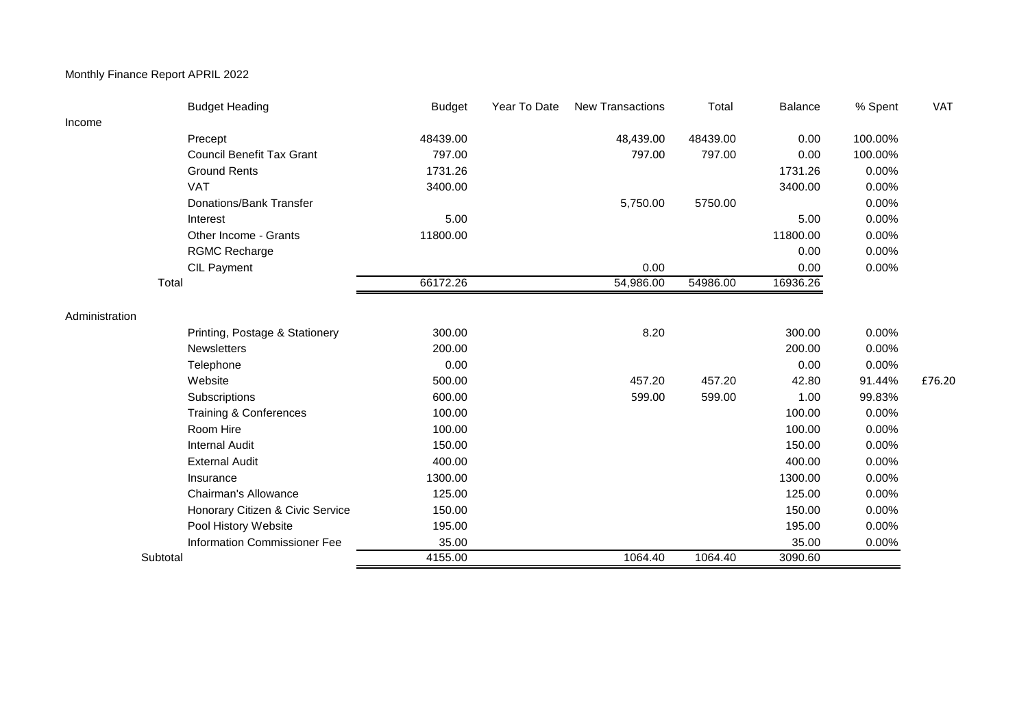## Monthly Finance Report APRIL 2022

|                | <b>Budget Heading</b>            | <b>Budget</b> | Year To Date | <b>New Transactions</b> | Total    | <b>Balance</b> | % Spent | VAT    |
|----------------|----------------------------------|---------------|--------------|-------------------------|----------|----------------|---------|--------|
| Income         |                                  |               |              |                         |          |                |         |        |
|                | Precept                          | 48439.00      |              | 48,439.00               | 48439.00 | 0.00           | 100.00% |        |
|                | <b>Council Benefit Tax Grant</b> | 797.00        |              | 797.00                  | 797.00   | 0.00           | 100.00% |        |
|                | <b>Ground Rents</b>              | 1731.26       |              |                         |          | 1731.26        | 0.00%   |        |
|                | <b>VAT</b>                       | 3400.00       |              |                         |          | 3400.00        | 0.00%   |        |
|                | Donations/Bank Transfer          |               |              | 5,750.00                | 5750.00  |                | 0.00%   |        |
|                | Interest                         | 5.00          |              |                         |          | 5.00           | 0.00%   |        |
|                | Other Income - Grants            | 11800.00      |              |                         |          | 11800.00       | 0.00%   |        |
|                | <b>RGMC Recharge</b>             |               |              |                         |          | 0.00           | 0.00%   |        |
|                | <b>CIL Payment</b>               |               |              | 0.00                    |          | 0.00           | 0.00%   |        |
|                | Total                            | 66172.26      |              | 54,986.00               | 54986.00 | 16936.26       |         |        |
| Administration |                                  |               |              |                         |          |                |         |        |
|                | Printing, Postage & Stationery   | 300.00        |              | 8.20                    |          | 300.00         | 0.00%   |        |
|                | Newsletters                      | 200.00        |              |                         |          | 200.00         | 0.00%   |        |
|                | Telephone                        | 0.00          |              |                         |          | 0.00           | 0.00%   |        |
|                | Website                          | 500.00        |              | 457.20                  | 457.20   | 42.80          | 91.44%  | £76.20 |
|                | Subscriptions                    | 600.00        |              | 599.00                  | 599.00   | 1.00           | 99.83%  |        |
|                | Training & Conferences           | 100.00        |              |                         |          | 100.00         | 0.00%   |        |
|                | Room Hire                        | 100.00        |              |                         |          | 100.00         | 0.00%   |        |
|                | <b>Internal Audit</b>            | 150.00        |              |                         |          | 150.00         | 0.00%   |        |
|                | <b>External Audit</b>            | 400.00        |              |                         |          | 400.00         | 0.00%   |        |
|                | Insurance                        | 1300.00       |              |                         |          | 1300.00        | 0.00%   |        |
|                | Chairman's Allowance             | 125.00        |              |                         |          | 125.00         | 0.00%   |        |
|                | Honorary Citizen & Civic Service | 150.00        |              |                         |          | 150.00         | 0.00%   |        |
|                | Pool History Website             | 195.00        |              |                         |          | 195.00         | 0.00%   |        |
|                | Information Commissioner Fee     | 35.00         |              |                         |          | 35.00          | 0.00%   |        |
| Subtotal       |                                  | 4155.00       |              | 1064.40                 | 1064.40  | 3090.60        |         |        |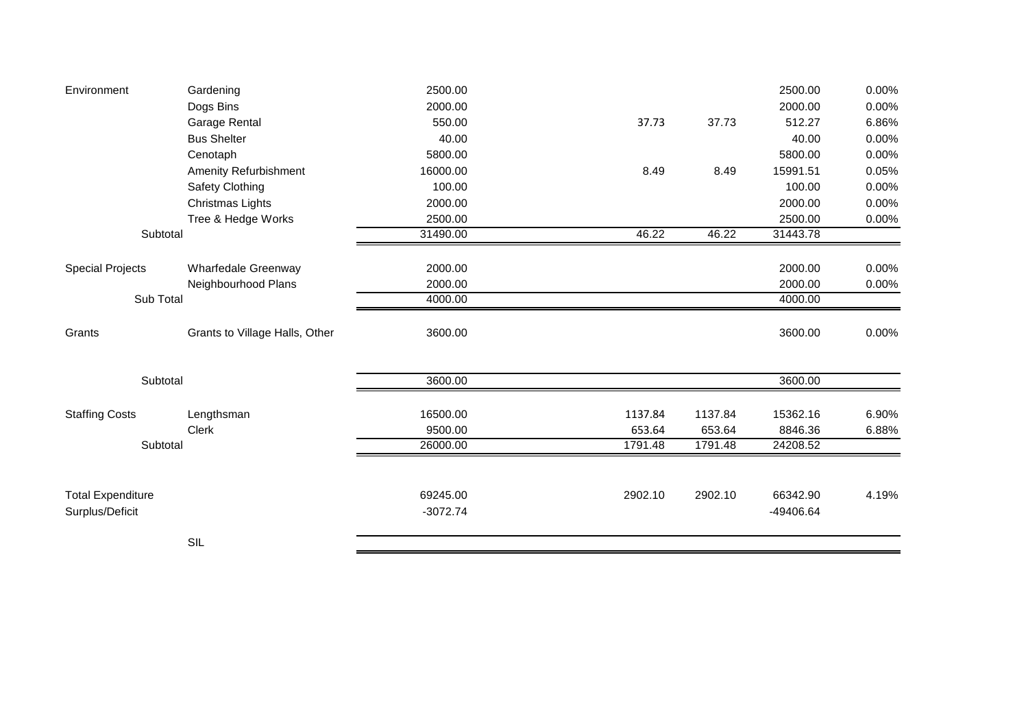| Environment                      | Gardening                      | 2500.00            |         |                    | 2500.00            | 0.00% |
|----------------------------------|--------------------------------|--------------------|---------|--------------------|--------------------|-------|
|                                  | Dogs Bins                      | 2000.00            |         |                    | 2000.00            | 0.00% |
|                                  | Garage Rental                  | 550.00             | 37.73   | 37.73              | 512.27             | 6.86% |
|                                  | <b>Bus Shelter</b>             | 40.00              |         |                    | 40.00              | 0.00% |
|                                  | Cenotaph                       | 5800.00            |         |                    | 5800.00            | 0.00% |
|                                  | <b>Amenity Refurbishment</b>   | 16000.00           | 8.49    | 8.49               | 15991.51           | 0.05% |
|                                  | Safety Clothing                | 100.00             |         |                    | 100.00             | 0.00% |
|                                  | Christmas Lights               | 2000.00            |         |                    | 2000.00            | 0.00% |
| Tree & Hedge Works               |                                | 2500.00            |         |                    | 2500.00            | 0.00% |
| Subtotal                         |                                | 31490.00           | 46.22   | $\overline{46.22}$ | 31443.78           |       |
|                                  |                                |                    |         |                    |                    |       |
| <b>Special Projects</b>          | Wharfedale Greenway            | 2000.00            |         |                    | 2000.00            | 0.00% |
| Neighbourhood Plans<br>Sub Total |                                | 2000.00<br>4000.00 |         |                    | 2000.00<br>4000.00 | 0.00% |
|                                  |                                |                    |         |                    |                    |       |
| Grants                           | Grants to Village Halls, Other | 3600.00            |         |                    | 3600.00            | 0.00% |
| Subtotal                         |                                | 3600.00            |         |                    | 3600.00            |       |
| <b>Staffing Costs</b>            | Lengthsman                     | 16500.00           | 1137.84 | 1137.84            | 15362.16           | 6.90% |
|                                  | Clerk                          | 9500.00            | 653.64  | 653.64             | 8846.36            | 6.88% |
| Subtotal                         |                                | 26000.00           | 1791.48 | 1791.48            | 24208.52           |       |
|                                  |                                |                    |         |                    |                    |       |
| <b>Total Expenditure</b>         |                                | 69245.00           | 2902.10 | 2902.10            | 66342.90           | 4.19% |
| Surplus/Deficit                  |                                | $-3072.74$         |         |                    | -49406.64          |       |
|                                  | SIL                            |                    |         |                    |                    |       |